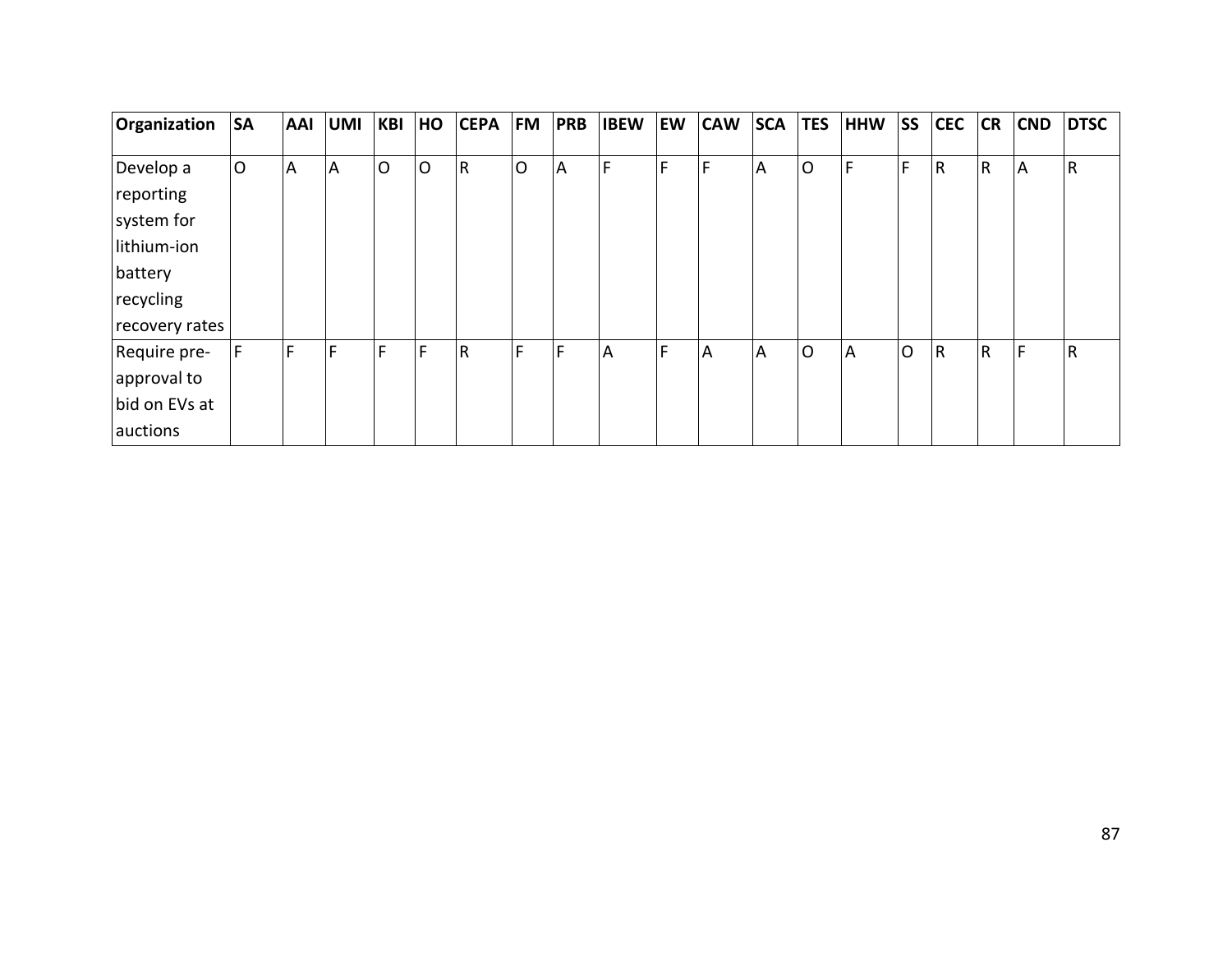| Organization   | <b>SA</b> | <b>AAI</b> | <b>UMI</b>     | <b>KBI</b>     | HO | <b>CEPA</b> | <b>FM</b>      | <b>PRB</b>     | <b>IBEW</b> | <b>EW</b> | <b>CAW</b> | <b>SCA</b> | <b>TES</b>     | <b>HHW</b> | <b>SS</b>    | <b>CEC</b> | <b>CR</b>    | <b>CND</b> | <b>DTSC</b>  |
|----------------|-----------|------------|----------------|----------------|----|-------------|----------------|----------------|-------------|-----------|------------|------------|----------------|------------|--------------|------------|--------------|------------|--------------|
|                |           |            |                |                |    |             |                |                |             |           |            |            |                |            |              |            |              |            |              |
| Develop a      | lO        | A          | $\overline{A}$ | $\overline{O}$ | O  | R           | $\overline{O}$ | $\overline{A}$ | F           | F         | F          | A          | $\overline{O}$ | E          | F.           | <b>R</b>   | $\mathsf{R}$ | A          | $\mathsf{R}$ |
| reporting      |           |            |                |                |    |             |                |                |             |           |            |            |                |            |              |            |              |            |              |
| system for     |           |            |                |                |    |             |                |                |             |           |            |            |                |            |              |            |              |            |              |
| lithium-ion    |           |            |                |                |    |             |                |                |             |           |            |            |                |            |              |            |              |            |              |
| battery        |           |            |                |                |    |             |                |                |             |           |            |            |                |            |              |            |              |            |              |
| recycling      |           |            |                |                |    |             |                |                |             |           |            |            |                |            |              |            |              |            |              |
| recovery rates |           |            |                |                |    |             |                |                |             |           |            |            |                |            |              |            |              |            |              |
| Require pre-   | F.        | F          | F              | F              | F  | R           | F              | F              | A           | F         | A          | A          | $\circ$        | <b>A</b>   | $\mathsf{O}$ | R          | R            | F          | $\mathsf{R}$ |
| approval to    |           |            |                |                |    |             |                |                |             |           |            |            |                |            |              |            |              |            |              |
| bid on EVs at  |           |            |                |                |    |             |                |                |             |           |            |            |                |            |              |            |              |            |              |
| auctions       |           |            |                |                |    |             |                |                |             |           |            |            |                |            |              |            |              |            |              |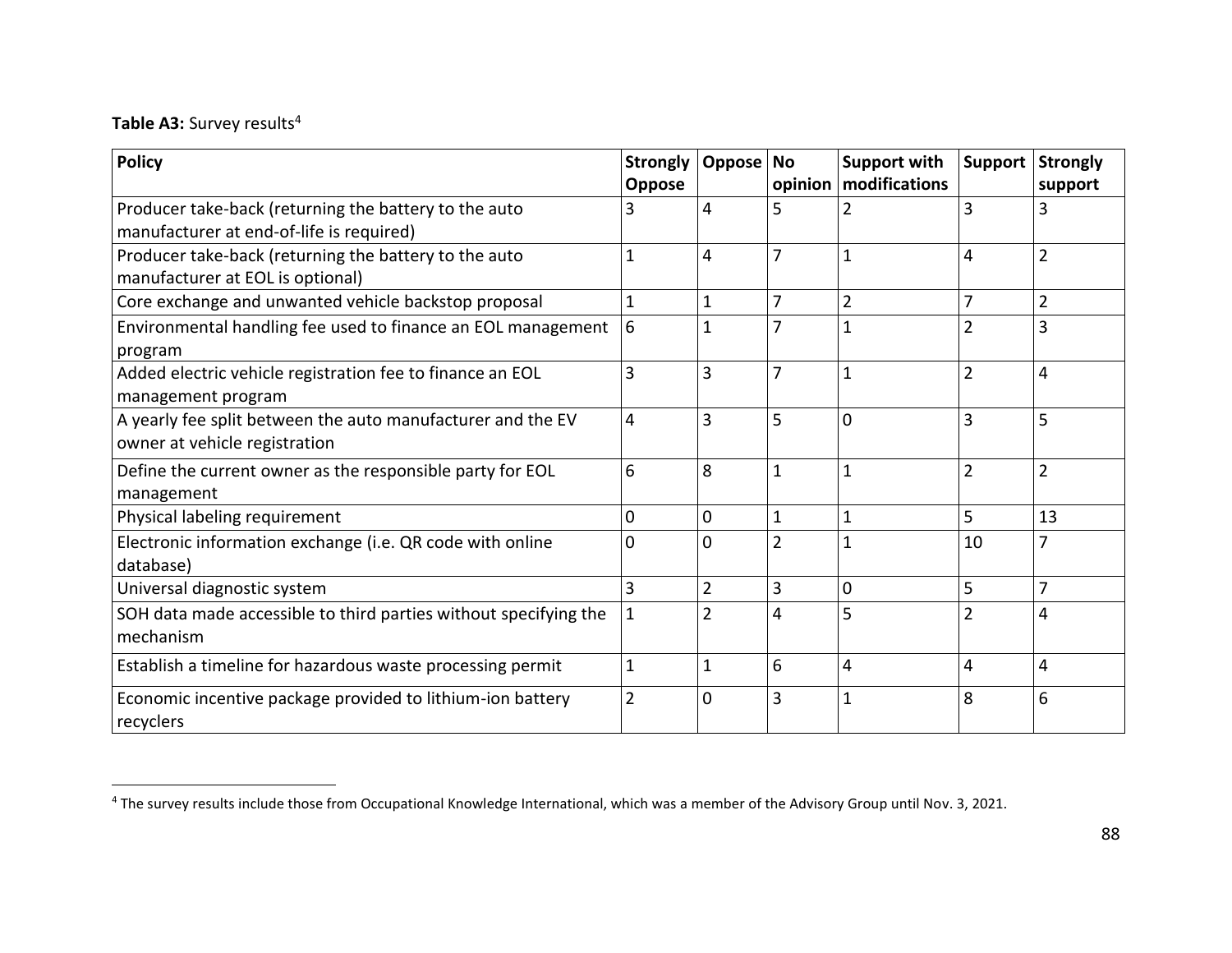## Table A3: Survey results<sup>4</sup>

| <b>Policy</b>                                                    | <b>Strongly</b> | Oppose         | <b>No</b>      | <b>Support with</b>     | <b>Support</b> | <b>Strongly</b> |
|------------------------------------------------------------------|-----------------|----------------|----------------|-------------------------|----------------|-----------------|
|                                                                  | <b>Oppose</b>   |                |                | opinion   modifications |                | support         |
| Producer take-back (returning the battery to the auto            | 3               | 4              | 5              | 2                       | 3              | 3               |
| manufacturer at end-of-life is required)                         |                 |                |                |                         |                |                 |
| Producer take-back (returning the battery to the auto            | 1               | 4              | $\overline{7}$ | 1                       | 4              | $\overline{2}$  |
| manufacturer at EOL is optional)                                 |                 |                |                |                         |                |                 |
| Core exchange and unwanted vehicle backstop proposal             | 1               | 1              | $\overline{7}$ | $\overline{2}$          | 7              | $\overline{2}$  |
| Environmental handling fee used to finance an EOL management     | 6               | 1              | 7              | $\mathbf{1}$            | $\overline{2}$ | 3               |
| program                                                          |                 |                |                |                         |                |                 |
| Added electric vehicle registration fee to finance an EOL        | 3               | 3              | $\overline{7}$ | $\mathbf 1$             | $\overline{2}$ | 4               |
| management program                                               |                 |                |                |                         |                |                 |
| A yearly fee split between the auto manufacturer and the EV      | 4               | 3              | 5              | $\mathbf 0$             | 3              | 5               |
| owner at vehicle registration                                    |                 |                |                |                         |                |                 |
| Define the current owner as the responsible party for EOL        | 6               | 8              | $\mathbf{1}$   | $\mathbf 1$             | $\overline{2}$ | $\overline{2}$  |
| management                                                       |                 |                |                |                         |                |                 |
| Physical labeling requirement                                    | 0               | $\mathbf 0$    | $\mathbf{1}$   | $\mathbf{1}$            | 5              | 13              |
| Electronic information exchange (i.e. QR code with online        | 0               | $\Omega$       | $\overline{2}$ | 1                       | 10             |                 |
| database)                                                        |                 |                |                |                         |                |                 |
| Universal diagnostic system                                      | 3               | $\overline{2}$ | 3              | 0                       | 5              | 7               |
| SOH data made accessible to third parties without specifying the | 1               | $\overline{2}$ | 4              | 5                       | $\overline{2}$ | 4               |
| mechanism                                                        |                 |                |                |                         |                |                 |
| Establish a timeline for hazardous waste processing permit       | $\mathbf{1}$    | 1              | 6              | 4                       | 4              | 4               |
| Economic incentive package provided to lithium-ion battery       | 2               | 0              | 3              | 1                       | 8              | 6               |
| recyclers                                                        |                 |                |                |                         |                |                 |

<sup>&</sup>lt;sup>4</sup> The survey results include those from Occupational Knowledge International, which was a member of the Advisory Group until Nov. 3, 2021.